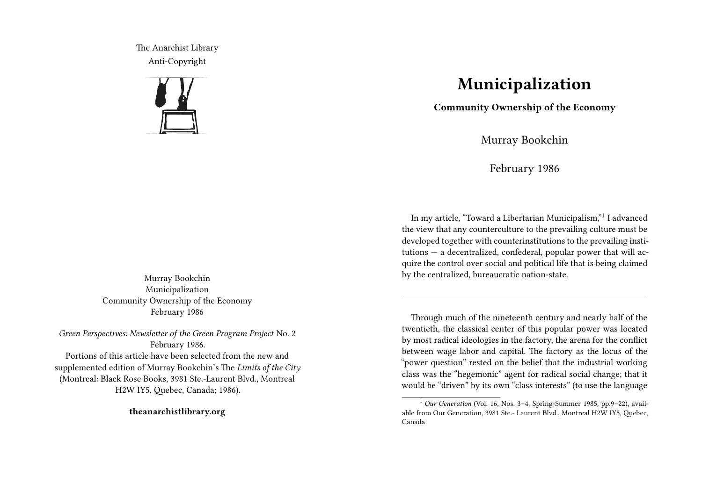The Anarchist Library Anti-Copyright



Murray Bookchin Municipalization Community Ownership of the Economy February 1986

*Green Perspectives: Newsletter of the Green Program Project* No. 2 February 1986. Portions of this article have been selected from the new and supplemented edition of Murray Bookchin's The *Limits of the City* (Montreal: Black Rose Books, 3981 Ste.-Laurent Blvd., Montreal H2W IY5, Quebec, Canada; 1986).

**theanarchistlibrary.org**

## **Municipalization**

**Community Ownership of the Economy**

Murray Bookchin

February 1986

In my article, "Toward a Libertarian Municipalism,"<sup>1</sup> I advanced the view that any counterculture to the prevailing culture must be developed together with counterinstitutions to the prevailing institutions — a decentralized, confederal, popular power that will acquire the control over social and political life that is being claimed by the centralized, bureaucratic nation-state.

Through much of the nineteenth century and nearly half of the twentieth, the classical center of this popular power was located by most radical ideologies in the factory, the arena for the conflict between wage labor and capital. The factory as the locus of the "power question" rested on the belief that the industrial working class was the "hegemonic" agent for radical social change; that it would be "driven" by its own "class interests" (to use the language

<sup>1</sup> *Our Generation* (Vol. 16, Nos. 3–4, Spring-Summer 1985, pp.9–22), available from Our Generation, 3981 Ste.- Laurent Blvd., Montreal H2W IY5, Quebec, Canada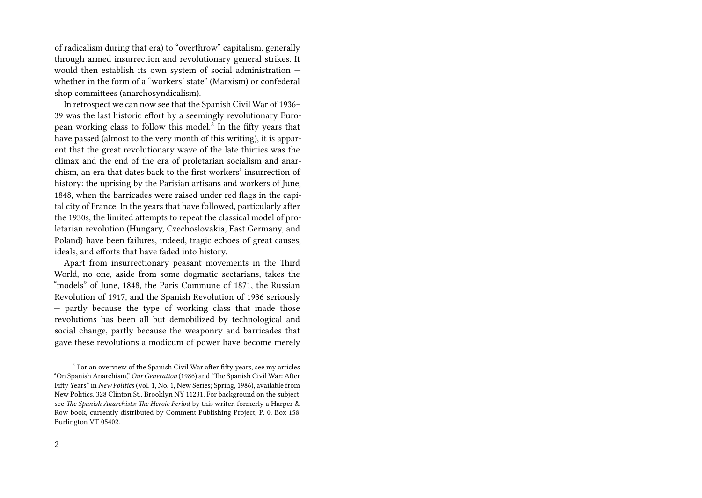of radicalism during that era) to "overthrow" capitalism, generally through armed insurrection and revolutionary general strikes. It would then establish its own system of social administration whether in the form of a "workers' state" (Marxism) or confederal shop committees (anarchosyndicalism).

In retrospect we can now see that the Spanish Civil War of 1936– 39 was the last historic effort by a seemingly revolutionary European working class to follow this model.<sup>2</sup> In the fifty years that have passed (almost to the very month of this writing), it is apparent that the great revolutionary wave of the late thirties was the climax and the end of the era of proletarian socialism and anarchism, an era that dates back to the first workers' insurrection of history: the uprising by the Parisian artisans and workers of June, 1848, when the barricades were raised under red flags in the capital city of France. In the years that have followed, particularly after the 1930s, the limited attempts to repeat the classical model of proletarian revolution (Hungary, Czechoslovakia, East Germany, and Poland) have been failures, indeed, tragic echoes of great causes, ideals, and efforts that have faded into history.

Apart from insurrectionary peasant movements in the Third World, no one, aside from some dogmatic sectarians, takes the "models" of June, 1848, the Paris Commune of 1871, the Russian Revolution of 1917, and the Spanish Revolution of 1936 seriously — partly because the type of working class that made those revolutions has been all but demobilized by technological and social change, partly because the weaponry and barricades that gave these revolutions a modicum of power have become merely

 $2^{2}$  For an overview of the Spanish Civil War after fifty years, see my articles "On Spanish Anarchism," *Our Generation* (1986) and "The Spanish Civil War: After Fifty Years" in *New Politics* (Vol. 1, No. 1, New Series; Spring, 1986), available from New Politics, 328 Clinton St., Brooklyn NY 11231. For background on the subject, see *The Spanish Anarchists: The Heroic Period* by this writer, formerly a Harper & Row book, currently distributed by Comment Publishing Project, P. 0. Box 158, Burlington VT 05402.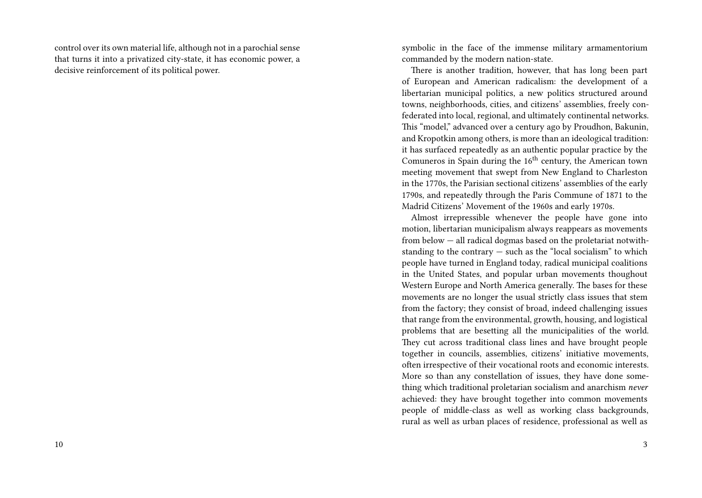control over its own material life, although not in a parochial sense that turns it into a privatized city-state, it has economic power, a decisive reinforcement of its political power.

symbolic in the face of the immense military armamentorium commanded by the modern nation-state.

There is another tradition, however, that has long been part of European and American radicalism: the development of a libertarian municipal politics, a new politics structured around towns, neighborhoods, cities, and citizens' assemblies, freely confederated into local, regional, and ultimately continental networks. This "model," advanced over a century ago by Proudhon, Bakunin, and Kropotkin among others, is more than an ideological tradition: it has surfaced repeatedly as an authentic popular practice by the Comuneros in Spain during the  $16<sup>th</sup>$  century, the American town meeting movement that swept from New England to Charleston in the 1770s, the Parisian sectional citizens' assemblies of the early 1790s, and repeatedly through the Paris Commune of 1871 to the Madrid Citizens' Movement of the 1960s and early 1970s.

Almost irrepressible whenever the people have gone into motion, libertarian municipalism always reappears as movements from below — all radical dogmas based on the proletariat notwithstanding to the contrary  $-$  such as the "local socialism" to which people have turned in England today, radical municipal coalitions in the United States, and popular urban movements thoughout Western Europe and North America generally. The bases for these movements are no longer the usual strictly class issues that stem from the factory; they consist of broad, indeed challenging issues that range from the environmental, growth, housing, and logistical problems that are besetting all the municipalities of the world. They cut across traditional class lines and have brought people together in councils, assemblies, citizens' initiative movements, often irrespective of their vocational roots and economic interests. More so than any constellation of issues, they have done something which traditional proletarian socialism and anarchism *never* achieved: they have brought together into common movements people of middle-class as well as working class backgrounds, rural as well as urban places of residence, professional as well as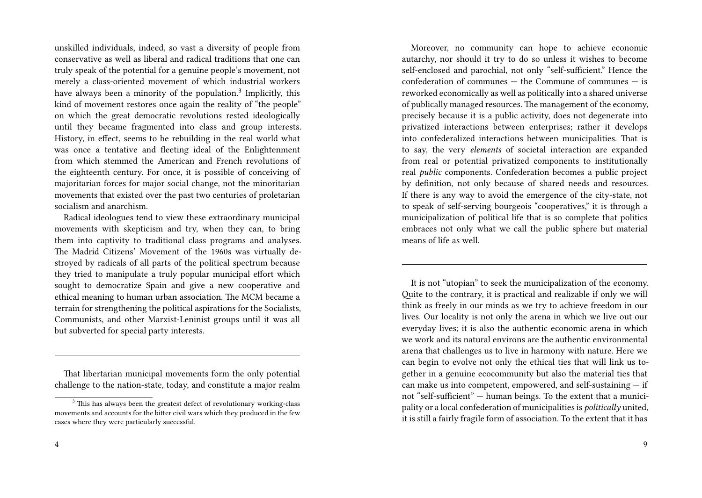unskilled individuals, indeed, so vast a diversity of people from conservative as well as liberal and radical traditions that one can truly speak of the potential for a genuine people's movement, not merely a class-oriented movement of which industrial workers have always been a minority of the population.<sup>3</sup> Implicitly, this kind of movement restores once again the reality of "the people" on which the great democratic revolutions rested ideologically until they became fragmented into class and group interests. History, in effect, seems to be rebuilding in the real world what was once a tentative and fleeting ideal of the Enlightenment from which stemmed the American and French revolutions of the eighteenth century. For once, it is possible of conceiving of majoritarian forces for major social change, not the minoritarian movements that existed over the past two centuries of proletarian socialism and anarchism.

Radical ideologues tend to view these extraordinary municipal movements with skepticism and try, when they can, to bring them into captivity to traditional class programs and analyses. The Madrid Citizens' Movement of the 1960s was virtually destroyed by radicals of all parts of the political spectrum because they tried to manipulate a truly popular municipal effort which sought to democratize Spain and give a new cooperative and ethical meaning to human urban association. The MCM became a terrain for strengthening the political aspirations for the Socialists, Communists, and other Marxist-Leninist groups until it was all but subverted for special party interests.

That libertarian municipal movements form the only potential challenge to the nation-state, today, and constitute a major realm

Moreover, no community can hope to achieve economic autarchy, nor should it try to do so unless it wishes to become self-enclosed and parochial, not only "self-sufficient." Hence the confederation of communes — the Commune of communes — is reworked economically as well as politically into a shared universe of publically managed resources. The management of the economy, precisely because it is a public activity, does not degenerate into privatized interactions between enterprises; rather it develops into confederalized interactions between municipalities. That is to say, the very *elements* of societal interaction are expanded from real or potential privatized components to institutionally real *public* components. Confederation becomes a public project by definition, not only because of shared needs and resources. If there is any way to avoid the emergence of the city-state, not to speak of self-serving bourgeois "cooperatives," it is through a municipalization of political life that is so complete that politics embraces not only what we call the public sphere but material means of life as well.

It is not "utopian" to seek the municipalization of the economy. Quite to the contrary, it is practical and realizable if only we will think as freely in our minds as we try to achieve freedom in our lives. Our locality is not only the arena in which we live out our everyday lives; it is also the authentic economic arena in which we work and its natural environs are the authentic environmental arena that challenges us to live in harmony with nature. Here we can begin to evolve not only the ethical ties that will link us together in a genuine ecocommunity but also the material ties that can make us into competent, empowered, and self-sustaining  $-$  if not "self-sufficient" — human beings. To the extent that a municipality or a local confederation of municipalities is *politically* united, it is still a fairly fragile form of association. To the extent that it has

<sup>&</sup>lt;sup>3</sup> This has always been the greatest defect of revolutionary working-class movements and accounts for the bitter civil wars which they produced in the few cases where they were particularly successful.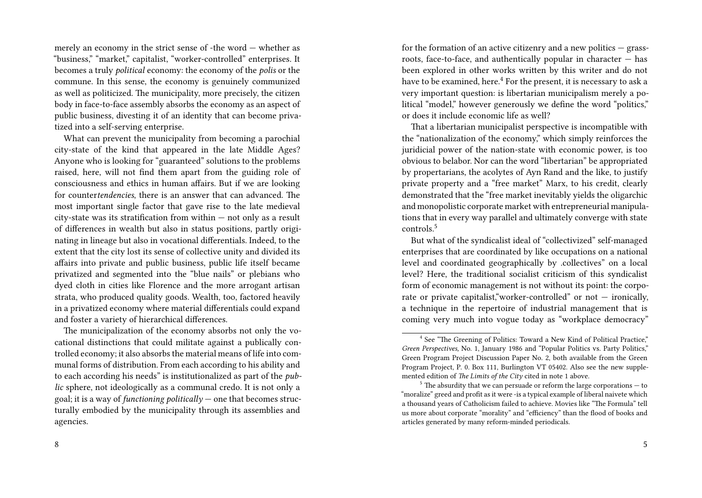merely an economy in the strict sense of -the word — whether as "business," "market," capitalist, "worker-controlled" enterprises. It becomes a truly *political* economy: the economy of the *polis* or the commune. In this sense, the economy is genuinely communized as well as politicized. The municipality, more precisely, the citizen body in face-to-face assembly absorbs the economy as an aspect of public business, divesting it of an identity that can become privatized into a self-serving enterprise.

What can prevent the municipality from becoming a parochial city-state of the kind that appeared in the late Middle Ages? Anyone who is looking for "guaranteed" solutions to the problems raised, here, will not find them apart from the guiding role of consciousness and ethics in human affairs. But if we are looking for counter*tendencies*, there is an answer that can advanced. The most important single factor that gave rise to the late medieval city-state was its stratification from within — not only as a result of differences in wealth but also in status positions, partly originating in lineage but also in vocational differentials. Indeed, to the extent that the city lost its sense of collective unity and divided its affairs into private and public business, public life itself became privatized and segmented into the "blue nails" or plebians who dyed cloth in cities like Florence and the more arrogant artisan strata, who produced quality goods. Wealth, too, factored heavily in a privatized economy where material differentials could expand and foster a variety of hierarchical differences.

The municipalization of the economy absorbs not only the vocational distinctions that could militate against a publically controlled economy; it also absorbs the material means of life into communal forms of distribution. From each according to his ability and to each according his needs" is institutionalized as part of the *public* sphere, not ideologically as a communal credo. It is not only a goal; it is a way of *functioning politically* — one that becomes structurally embodied by the municipality through its assemblies and agencies.

for the formation of an active citizenry and a new politics  $-$  grassroots, face-to-face, and authentically popular in character — has been explored in other works written by this writer and do not have to be examined, here.<sup>4</sup> For the present, it is necessary to ask a very important question: is libertarian municipalism merely a political "model," however generously we define the word "politics," or does it include economic life as well?

That a libertarian municipalist perspective is incompatible with the "nationalization of the economy," which simply reinforces the juridicial power of the nation-state with economic power, is too obvious to belabor. Nor can the word "libertarian" be appropriated by propertarians, the acolytes of Ayn Rand and the like, to justify private property and a "free market" Marx, to his credit, clearly demonstrated that the "free market inevitably yields the oligarchic and monopolistic corporate market with entrepreneurial manipulations that in every way parallel and ultimately converge with state controls.<sup>5</sup>

But what of the syndicalist ideal of "collectivized" self-managed enterprises that are coordinated by like occupations on a national level and coordinated geographically by .collectives" on a local level? Here, the traditional socialist criticism of this syndicalist form of economic management is not without its point: the corporate or private capitalist,"worker-controlled" or not — ironically, a technique in the repertoire of industrial management that is coming very much into vogue today as "workplace democracy"

<sup>&</sup>lt;sup>4</sup> See "The Greening of Politics: Toward a New Kind of Political Practice," *Green Perspectives,* No. 1, January 1986 and "Popular Politics vs. Party Politics," Green Program Project Discussion Paper No. 2, both available from the Green Program Project, P. 0. Box 111, Burlington VT 05402. Also see the new supplemented edition of *The Limits of the City* cited in note 1 above.

 $5$  The absurdity that we can persuade or reform the large corporations  $-$  to "moralize" greed and profit as it were -is a typical example of liberal naivete which a thousand years of Catholicism failed to achieve. Movies like "The Formula" tell us more about corporate "morality" and "efficiency" than the flood of books and articles generated by many reform-minded periodicals.